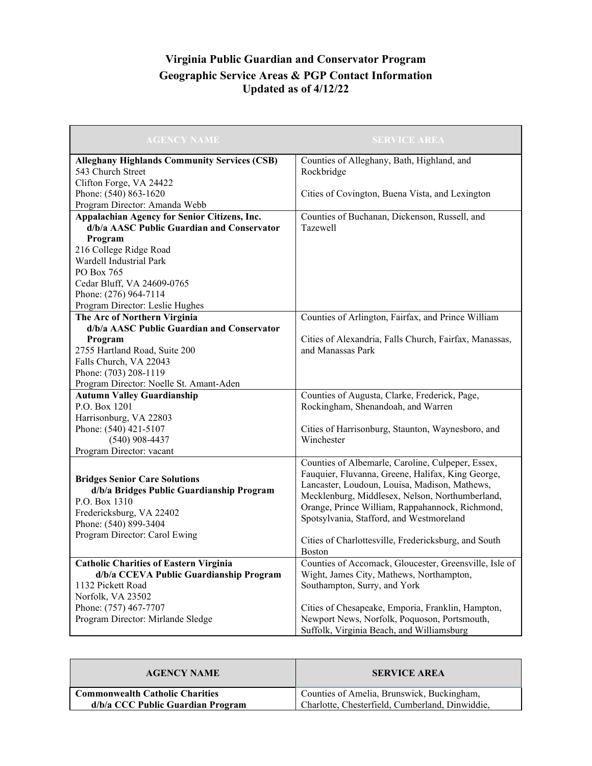## **Virginia Public Guardian and Conservator Program Geographic Service Areas & PGP Contact Information Updated as of 4/12/22**

| <b>AGENCY NAME</b>                                  | <b>SERVICE AREA</b>                                    |
|-----------------------------------------------------|--------------------------------------------------------|
| <b>Alleghany Highlands Community Services (CSB)</b> | Counties of Alleghany, Bath, Highland, and             |
| 543 Church Street                                   | Rockbridge                                             |
| Clifton Forge, VA 24422                             |                                                        |
| Phone: (540) 863-1620                               | Cities of Covington, Buena Vista, and Lexington        |
| Program Director: Amanda Webb                       |                                                        |
| Appalachian Agency for Senior Citizens, Inc.        | Counties of Buchanan, Dickenson, Russell, and          |
| d/b/a AASC Public Guardian and Conservator          | Tazewell                                               |
| Program                                             |                                                        |
| 216 College Ridge Road                              |                                                        |
| Wardell Industrial Park                             |                                                        |
| PO Box 765                                          |                                                        |
| Cedar Bluff, VA 24609-0765                          |                                                        |
| Phone: (276) 964-7114                               |                                                        |
| Program Director: Leslie Hughes                     |                                                        |
| The Arc of Northern Virginia                        | Counties of Arlington, Fairfax, and Prince William     |
| d/b/a AASC Public Guardian and Conservator          |                                                        |
| Program                                             | Cities of Alexandria, Falls Church, Fairfax, Manassas, |
| 2755 Hartland Road, Suite 200                       | and Manassas Park                                      |
| Falls Church, VA 22043                              |                                                        |
| Phone: (703) 208-1119                               |                                                        |
| Program Director: Noelle St. Amant-Aden             |                                                        |
| <b>Autumn Valley Guardianship</b>                   | Counties of Augusta, Clarke, Frederick, Page,          |
| P.O. Box 1201                                       | Rockingham, Shenandoah, and Warren                     |
| Harrisonburg, VA 22803                              |                                                        |
| Phone: (540) 421-5107                               | Cities of Harrisonburg, Staunton, Waynesboro, and      |
| $(540)$ 908-4437                                    | Winchester                                             |
| Program Director: vacant                            |                                                        |
|                                                     | Counties of Albemarle, Caroline, Culpeper, Essex,      |
| <b>Bridges Senior Care Solutions</b>                | Fauquier, Fluvanna, Greene, Halifax, King George,      |
| d/b/a Bridges Public Guardianship Program           | Lancaster, Loudoun, Louisa, Madison, Mathews,          |
| P.O. Box 1310                                       | Mecklenburg, Middlesex, Nelson, Northumberland,        |
| Fredericksburg, VA 22402                            | Orange, Prince William, Rappahannock, Richmond,        |
| Phone: (540) 899-3404                               | Spotsylvania, Stafford, and Westmoreland               |
| Program Director: Carol Ewing                       | Cities of Charlottesville, Fredericksburg, and South   |
|                                                     | <b>Boston</b>                                          |
| <b>Catholic Charities of Eastern Virginia</b>       | Counties of Accomack, Gloucester, Greensville, Isle of |
| d/b/a CCEVA Public Guardianship Program             | Wight, James City, Mathews, Northampton,               |
| 1132 Pickett Road                                   | Southampton, Surry, and York                           |
| Norfolk, VA 23502                                   |                                                        |
| Phone: (757) 467-7707                               | Cities of Chesapeake, Emporia, Franklin, Hampton,      |
| Program Director: Mirlande Sledge                   | Newport News, Norfolk, Poquoson, Portsmouth,           |
|                                                     | Suffolk, Virginia Beach, and Williamsburg              |

| <b>AGENCY NAME</b>                     | <b>SERVICE AREA</b>                             |
|----------------------------------------|-------------------------------------------------|
| <b>Commonwealth Catholic Charities</b> | Counties of Amelia, Brunswick, Buckingham,      |
| d/b/a CCC Public Guardian Program      | Charlotte, Chesterfield, Cumberland, Dinwiddie, |